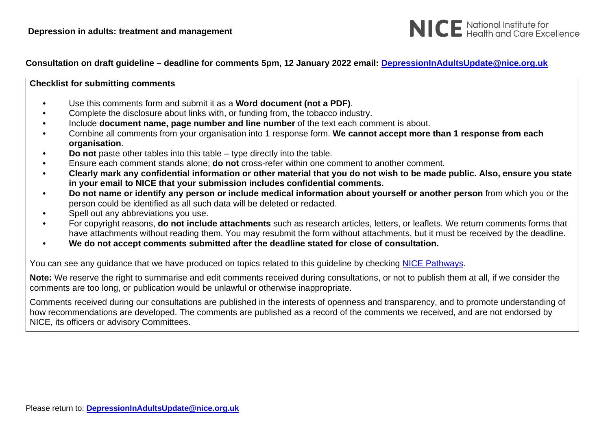

#### **Checklist for submitting comments**

- Use this comments form and submit it as a **Word document (not a PDF)**.
- Complete the disclosure about links with, or funding from, the tobacco industry.
- Include **document name, page number and line number** of the text each comment is about.
- Combine all comments from your organisation into 1 response form. **We cannot accept more than 1 response from each organisation**.
- **Do not** paste other tables into this table type directly into the table.
- Ensure each comment stands alone; **do not** cross-refer within one comment to another comment.
- **Clearly mark any confidential information or other material that you do not wish to be made public. Also, ensure you state in your email to NICE that your submission includes confidential comments.**
- **Do not name or identify any person or include medical information about yourself or another person** from which you or the person could be identified as all such data will be deleted or redacted.
- Spell out any abbreviations you use.
- For copyright reasons, **do not include attachments** such as research articles, letters, or leaflets. We return comments forms that have attachments without reading them. You may resubmit the form without attachments, but it must be received by the deadline.
- **We do not accept comments submitted after the deadline stated for close of consultation.**

You can see any guidance that we have produced on topics related to this guideline by checking [NICE Pathways.](http://pathways.nice.org.uk/)

**Note:** We reserve the right to summarise and edit comments received during consultations, or not to publish them at all, if we consider the comments are too long, or publication would be unlawful or otherwise inappropriate.

Comments received during our consultations are published in the interests of openness and transparency, and to promote understanding of how recommendations are developed. The comments are published as a record of the comments we received, and are not endorsed by NICE, its officers or advisory Committees.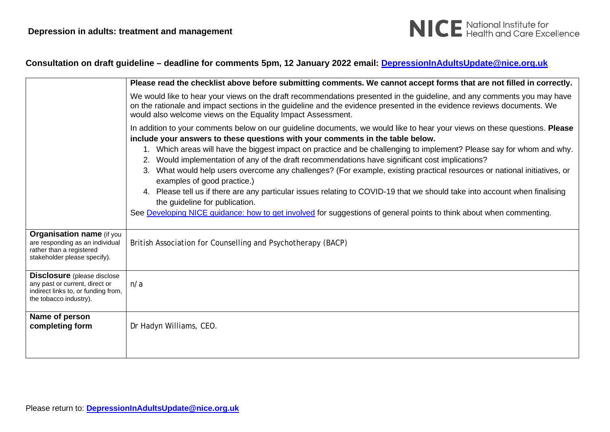

|                                                                                                                                       | Please read the checklist above before submitting comments. We cannot accept forms that are not filled in correctly.                                                                                                                                                                                                                                                                                                                                                                                                                                                                                                                                                                                                                                                                                                                                                                       |
|---------------------------------------------------------------------------------------------------------------------------------------|--------------------------------------------------------------------------------------------------------------------------------------------------------------------------------------------------------------------------------------------------------------------------------------------------------------------------------------------------------------------------------------------------------------------------------------------------------------------------------------------------------------------------------------------------------------------------------------------------------------------------------------------------------------------------------------------------------------------------------------------------------------------------------------------------------------------------------------------------------------------------------------------|
|                                                                                                                                       | We would like to hear your views on the draft recommendations presented in the guideline, and any comments you may have<br>on the rationale and impact sections in the guideline and the evidence presented in the evidence reviews documents. We<br>would also welcome views on the Equality Impact Assessment.                                                                                                                                                                                                                                                                                                                                                                                                                                                                                                                                                                           |
|                                                                                                                                       | In addition to your comments below on our guideline documents, we would like to hear your views on these questions. Please<br>include your answers to these questions with your comments in the table below.<br>1. Which areas will have the biggest impact on practice and be challenging to implement? Please say for whom and why.<br>2. Would implementation of any of the draft recommendations have significant cost implications?<br>3. What would help users overcome any challenges? (For example, existing practical resources or national initiatives, or<br>examples of good practice.)<br>4. Please tell us if there are any particular issues relating to COVID-19 that we should take into account when finalising<br>the guideline for publication.<br>See Developing NICE guidance: how to get involved for suggestions of general points to think about when commenting. |
| <b>Organisation name (if you</b><br>are responding as an individual<br>rather than a registered<br>stakeholder please specify).       | British Association for Counselling and Psychotherapy (BACP)                                                                                                                                                                                                                                                                                                                                                                                                                                                                                                                                                                                                                                                                                                                                                                                                                               |
| <b>Disclosure</b> (please disclose<br>any past or current, direct or<br>indirect links to, or funding from,<br>the tobacco industry). | n/a                                                                                                                                                                                                                                                                                                                                                                                                                                                                                                                                                                                                                                                                                                                                                                                                                                                                                        |
| Name of person<br>completing form                                                                                                     | Dr Hadyn Williams, CEO.                                                                                                                                                                                                                                                                                                                                                                                                                                                                                                                                                                                                                                                                                                                                                                                                                                                                    |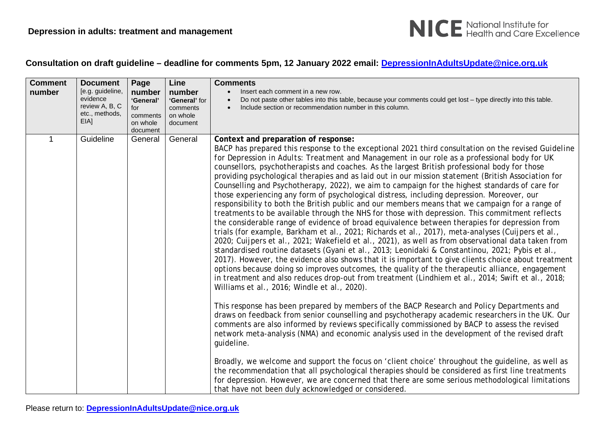

| <b>Comment</b> | <b>Document</b>                                                          | Page                                                           | Line                                                        | <b>Comments</b>                                                                                                                                                                                                                                                                                                                                                                                                                                                                                                                                                                                                                                                                                                                                                                                                                                                                                                                                                                                                                                                                                                                                                                                                                                                                                                                                                                                                                                                                                                                                                                                                                                                                                                                                                                                                                                                                                                                                                                                                                                                                                                                                                                                                                                                                                                                                                                                                                  |
|----------------|--------------------------------------------------------------------------|----------------------------------------------------------------|-------------------------------------------------------------|----------------------------------------------------------------------------------------------------------------------------------------------------------------------------------------------------------------------------------------------------------------------------------------------------------------------------------------------------------------------------------------------------------------------------------------------------------------------------------------------------------------------------------------------------------------------------------------------------------------------------------------------------------------------------------------------------------------------------------------------------------------------------------------------------------------------------------------------------------------------------------------------------------------------------------------------------------------------------------------------------------------------------------------------------------------------------------------------------------------------------------------------------------------------------------------------------------------------------------------------------------------------------------------------------------------------------------------------------------------------------------------------------------------------------------------------------------------------------------------------------------------------------------------------------------------------------------------------------------------------------------------------------------------------------------------------------------------------------------------------------------------------------------------------------------------------------------------------------------------------------------------------------------------------------------------------------------------------------------------------------------------------------------------------------------------------------------------------------------------------------------------------------------------------------------------------------------------------------------------------------------------------------------------------------------------------------------------------------------------------------------------------------------------------------------|
| number         | [e.g. guideline,<br>evidence<br>review A, B, C<br>etc., methods,<br>EIA] | number<br>'General'<br>for<br>comments<br>on whole<br>document | number<br>'General' for<br>comments<br>on whole<br>document | Insert each comment in a new row.<br>Do not paste other tables into this table, because your comments could get lost - type directly into this table.<br>Include section or recommendation number in this column.                                                                                                                                                                                                                                                                                                                                                                                                                                                                                                                                                                                                                                                                                                                                                                                                                                                                                                                                                                                                                                                                                                                                                                                                                                                                                                                                                                                                                                                                                                                                                                                                                                                                                                                                                                                                                                                                                                                                                                                                                                                                                                                                                                                                                |
| 1              | Guideline                                                                | General                                                        | General                                                     | Context and preparation of response:<br>BACP has prepared this response to the exceptional 2021 third consultation on the revised Guideline<br>for Depression in Adults: Treatment and Management in our role as a professional body for UK<br>counsellors, psychotherapists and coaches. As the largest British professional body for those<br>providing psychological therapies and as laid out in our mission statement (British Association for<br>Counselling and Psychotherapy, 2022), we aim to campaign for the highest standards of care for<br>those experiencing any form of psychological distress, including depression. Moreover, our<br>responsibility to both the British public and our members means that we campaign for a range of<br>treatments to be available through the NHS for those with depression. This commitment reflects<br>the considerable range of evidence of broad equivalence between therapies for depression from<br>trials (for example, Barkham et al., 2021; Richards et al., 2017), meta-analyses (Cuijpers et al.,<br>2020; Cuijpers et al., 2021; Wakefield et al., 2021), as well as from observational data taken from<br>standardised routine datasets (Gyani et al., 2013; Leonidaki & Constantinou, 2021; Pybis et al.,<br>2017). However, the evidence also shows that it is important to give clients choice about treatment<br>options because doing so improves outcomes, the quality of the therapeutic alliance, engagement<br>in treatment and also reduces drop-out from treatment (Lindhiem et al., 2014; Swift et al., 2018;<br>Williams et al., 2016; Windle et al., 2020).<br>This response has been prepared by members of the BACP Research and Policy Departments and<br>draws on feedback from senior counselling and psychotherapy academic researchers in the UK. Our<br>comments are also informed by reviews specifically commissioned by BACP to assess the revised<br>network meta-analysis (NMA) and economic analysis used in the development of the revised draft<br>guideline.<br>Broadly, we welcome and support the focus on 'client choice' throughout the guideline, as well as<br>the recommendation that all psychological therapies should be considered as first line treatments<br>for depression. However, we are concerned that there are some serious methodological limitations<br>that have not been duly acknowledged or considered. |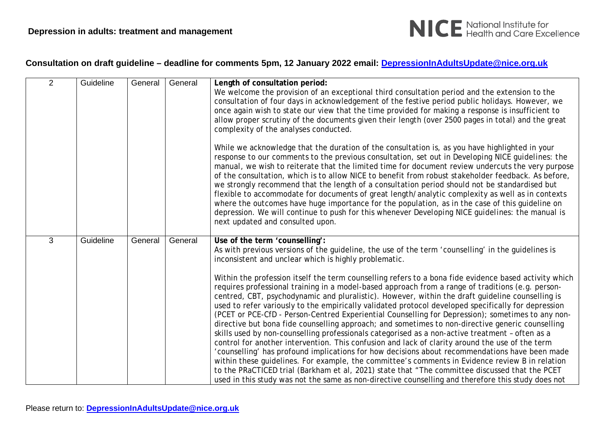

| $\overline{2}$ | Guideline | General | General | Length of consultation period:<br>We welcome the provision of an exceptional third consultation period and the extension to the<br>consultation of four days in acknowledgement of the festive period public holidays. However, we<br>once again wish to state our view that the time provided for making a response is insufficient to<br>allow proper scrutiny of the documents given their length (over 2500 pages in total) and the great<br>complexity of the analyses conducted.<br>While we acknowledge that the duration of the consultation is, as you have highlighted in your<br>response to our comments to the previous consultation, set out in Developing NICE guidelines: the<br>manual, we wish to reiterate that the limited time for document review undercuts the very purpose<br>of the consultation, which is to allow NICE to benefit from robust stakeholder feedback. As before,<br>we strongly recommend that the length of a consultation period should not be standardised but<br>flexible to accommodate for documents of great length/analytic complexity as well as in contexts<br>where the outcomes have huge importance for the population, as in the case of this guideline on<br>depression. We will continue to push for this whenever Developing NICE guidelines: the manual is<br>next updated and consulted upon.                                                                                          |
|----------------|-----------|---------|---------|----------------------------------------------------------------------------------------------------------------------------------------------------------------------------------------------------------------------------------------------------------------------------------------------------------------------------------------------------------------------------------------------------------------------------------------------------------------------------------------------------------------------------------------------------------------------------------------------------------------------------------------------------------------------------------------------------------------------------------------------------------------------------------------------------------------------------------------------------------------------------------------------------------------------------------------------------------------------------------------------------------------------------------------------------------------------------------------------------------------------------------------------------------------------------------------------------------------------------------------------------------------------------------------------------------------------------------------------------------------------------------------------------------------------------------------------------|
| 3              | Guideline | General | General | Use of the term 'counselling':<br>As with previous versions of the guideline, the use of the term 'counselling' in the guidelines is<br>inconsistent and unclear which is highly problematic.<br>Within the profession itself the term counselling refers to a bona fide evidence based activity which<br>requires professional training in a model-based approach from a range of traditions (e.g. person-<br>centred, CBT, psychodynamic and pluralistic). However, within the draft guideline counselling is<br>used to refer variously to the empirically validated protocol developed specifically for depression<br>(PCET or PCE-CfD - Person-Centred Experiential Counselling for Depression); sometimes to any non-<br>directive but bona fide counselling approach; and sometimes to non-directive generic counselling<br>skills used by non-counselling professionals categorised as a non-active treatment - often as a<br>control for another intervention. This confusion and lack of clarity around the use of the term<br>'counselling' has profound implications for how decisions about recommendations have been made<br>within these guidelines. For example, the committee's comments in Evidence review B in relation<br>to the PRaCTICED trial (Barkham et al, 2021) state that "The committee discussed that the PCET<br>used in this study was not the same as non-directive counselling and therefore this study does not |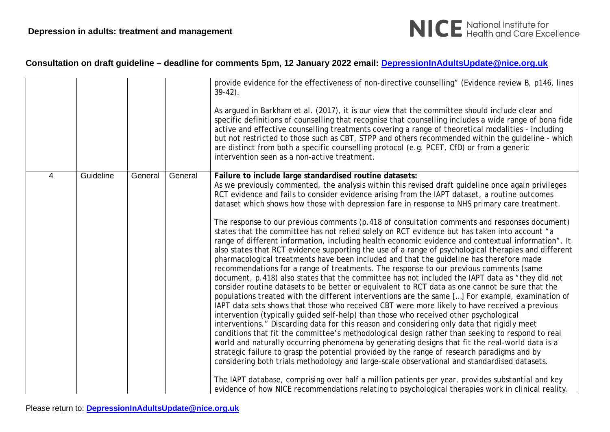

|   |           |         |         | provide evidence for the effectiveness of non-directive counselling" (Evidence review B, p146, lines<br>$39-42$ ).<br>As argued in Barkham et al. (2017), it is our view that the committee should include clear and<br>specific definitions of counselling that recognise that counselling includes a wide range of bona fide<br>active and effective counselling treatments covering a range of theoretical modalities - including<br>but not restricted to those such as CBT, STPP and others recommended within the quideline - which<br>are distinct from both a specific counselling protocol (e.g. PCET, CfD) or from a generic<br>intervention seen as a non-active treatment.                                                                                                                                                                                                                                                                                                                                                                                                                                                                                                                                                                                                                                                                                                                                                                                                                                                                                                                                                                                                                                                                                                                                                                                                                                                                                                                                                                                                                                                                                                   |
|---|-----------|---------|---------|------------------------------------------------------------------------------------------------------------------------------------------------------------------------------------------------------------------------------------------------------------------------------------------------------------------------------------------------------------------------------------------------------------------------------------------------------------------------------------------------------------------------------------------------------------------------------------------------------------------------------------------------------------------------------------------------------------------------------------------------------------------------------------------------------------------------------------------------------------------------------------------------------------------------------------------------------------------------------------------------------------------------------------------------------------------------------------------------------------------------------------------------------------------------------------------------------------------------------------------------------------------------------------------------------------------------------------------------------------------------------------------------------------------------------------------------------------------------------------------------------------------------------------------------------------------------------------------------------------------------------------------------------------------------------------------------------------------------------------------------------------------------------------------------------------------------------------------------------------------------------------------------------------------------------------------------------------------------------------------------------------------------------------------------------------------------------------------------------------------------------------------------------------------------------------------|
| 4 | Guideline | General | General | Failure to include large standardised routine datasets:<br>As we previously commented, the analysis within this revised draft guideline once again privileges<br>RCT evidence and fails to consider evidence arising from the IAPT dataset, a routine outcomes<br>dataset which shows how those with depression fare in response to NHS primary care treatment.<br>The response to our previous comments (p.418 of consultation comments and responses document)<br>states that the committee has not relied solely on RCT evidence but has taken into account "a<br>range of different information, including health economic evidence and contextual information". It<br>also states that RCT evidence supporting the use of a range of psychological therapies and different<br>pharmacological treatments have been included and that the quideline has therefore made<br>recommendations for a range of treatments. The response to our previous comments (same<br>document, p.418) also states that the committee has not included the IAPT data as "they did not<br>consider routine datasets to be better or equivalent to RCT data as one cannot be sure that the<br>populations treated with the different interventions are the same [] For example, examination of<br>IAPT data sets shows that those who received CBT were more likely to have received a previous<br>intervention (typically guided self-help) than those who received other psychological<br>interventions." Discarding data for this reason and considering only data that rigidly meet<br>conditions that fit the committee's methodological design rather than seeking to respond to real<br>world and naturally occurring phenomena by generating designs that fit the real-world data is a<br>strategic failure to grasp the potential provided by the range of research paradigms and by<br>considering both trials methodology and large-scale observational and standardised datasets.<br>The IAPT database, comprising over half a million patients per year, provides substantial and key<br>evidence of how NICE recommendations relating to psychological therapies work in clinical reality. |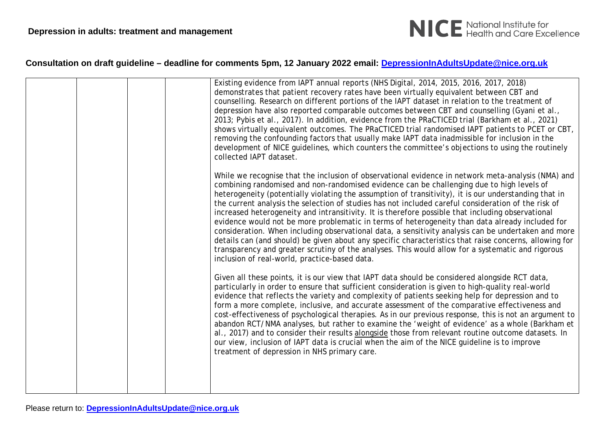

|  | Existing evidence from IAPT annual reports (NHS Digital, 2014, 2015, 2016, 2017, 2018)<br>demonstrates that patient recovery rates have been virtually equivalent between CBT and<br>counselling. Research on different portions of the IAPT dataset in relation to the treatment of<br>depression have also reported comparable outcomes between CBT and counselling (Gyani et al.,<br>2013; Pybis et al., 2017). In addition, evidence from the PRaCTICED trial (Barkham et al., 2021)<br>shows virtually equivalent outcomes. The PRaCTICED trial randomised IAPT patients to PCET or CBT,<br>removing the confounding factors that usually make IAPT data inadmissible for inclusion in the<br>development of NICE guidelines, which counters the committee's objections to using the routinely<br>collected IAPT dataset.<br>While we recognise that the inclusion of observational evidence in network meta-analysis (NMA) and<br>combining randomised and non-randomised evidence can be challenging due to high levels of<br>heterogeneity (potentially violating the assumption of transitivity), it is our understanding that in<br>the current analysis the selection of studies has not included careful consideration of the risk of<br>increased heterogeneity and intransitivity. It is therefore possible that including observational<br>evidence would not be more problematic in terms of heterogeneity than data already included for<br>consideration. When including observational data, a sensitivity analysis can be undertaken and more<br>details can (and should) be given about any specific characteristics that raise concerns, allowing for<br>transparency and greater scrutiny of the analyses. This would allow for a systematic and rigorous<br>inclusion of real-world, practice-based data. |
|--|----------------------------------------------------------------------------------------------------------------------------------------------------------------------------------------------------------------------------------------------------------------------------------------------------------------------------------------------------------------------------------------------------------------------------------------------------------------------------------------------------------------------------------------------------------------------------------------------------------------------------------------------------------------------------------------------------------------------------------------------------------------------------------------------------------------------------------------------------------------------------------------------------------------------------------------------------------------------------------------------------------------------------------------------------------------------------------------------------------------------------------------------------------------------------------------------------------------------------------------------------------------------------------------------------------------------------------------------------------------------------------------------------------------------------------------------------------------------------------------------------------------------------------------------------------------------------------------------------------------------------------------------------------------------------------------------------------------------------------------------------------------------------------------------------------------------------------|
|  | Given all these points, it is our view that IAPT data should be considered alongside RCT data,<br>particularly in order to ensure that sufficient consideration is given to high-quality real-world<br>evidence that reflects the variety and complexity of patients seeking help for depression and to<br>form a more complete, inclusive, and accurate assessment of the comparative effectiveness and<br>cost-effectiveness of psychological therapies. As in our previous response, this is not an argument to<br>abandon RCT/NMA analyses, but rather to examine the 'weight of evidence' as a whole (Barkham et<br>al., 2017) and to consider their results alongside those from relevant routine outcome datasets. In<br>our view, inclusion of IAPT data is crucial when the aim of the NICE guideline is to improve<br>treatment of depression in NHS primary care.                                                                                                                                                                                                                                                                                                                                                                                                                                                                                                                                                                                                                                                                                                                                                                                                                                                                                                                                                     |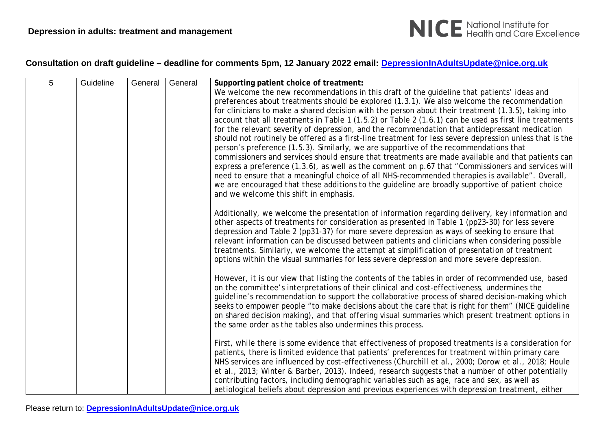

| 5 | Guideline | General | General | Supporting patient choice of treatment:                                                                                                                         |
|---|-----------|---------|---------|-----------------------------------------------------------------------------------------------------------------------------------------------------------------|
|   |           |         |         | We welcome the new recommendations in this draft of the guideline that patients' ideas and                                                                      |
|   |           |         |         | preferences about treatments should be explored (1.3.1). We also welcome the recommendation                                                                     |
|   |           |         |         | for clinicians to make a shared decision with the person about their treatment (1.3.5), taking into                                                             |
|   |           |         |         | account that all treatments in Table 1 (1.5.2) or Table 2 (1.6.1) can be used as first line treatments                                                          |
|   |           |         |         | for the relevant severity of depression, and the recommendation that antidepressant medication                                                                  |
|   |           |         |         | should not routinely be offered as a first-line treatment for less severe depression unless that is the                                                         |
|   |           |         |         | person's preference (1.5.3). Similarly, we are supportive of the recommendations that                                                                           |
|   |           |         |         | commissioners and services should ensure that treatments are made available and that patients can                                                               |
|   |           |         |         | express a preference (1.3.6), as well as the comment on p.67 that "Commissioners and services will                                                              |
|   |           |         |         | need to ensure that a meaningful choice of all NHS-recommended therapies is available". Overall,                                                                |
|   |           |         |         | we are encouraged that these additions to the guideline are broadly supportive of patient choice                                                                |
|   |           |         |         | and we welcome this shift in emphasis.                                                                                                                          |
|   |           |         |         | Additionally, we welcome the presentation of information regarding delivery, key information and                                                                |
|   |           |         |         | other aspects of treatments for consideration as presented in Table 1 (pp23-30) for less severe                                                                 |
|   |           |         |         | depression and Table 2 (pp31-37) for more severe depression as ways of seeking to ensure that                                                                   |
|   |           |         |         | relevant information can be discussed between patients and clinicians when considering possible                                                                 |
|   |           |         |         | treatments. Similarly, we welcome the attempt at simplification of presentation of treatment                                                                    |
|   |           |         |         | options within the visual summaries for less severe depression and more severe depression.                                                                      |
|   |           |         |         |                                                                                                                                                                 |
|   |           |         |         | However, it is our view that listing the contents of the tables in order of recommended use, based                                                              |
|   |           |         |         | on the committee's interpretations of their clinical and cost-effectiveness, undermines the                                                                     |
|   |           |         |         | guideline's recommendation to support the collaborative process of shared decision-making which                                                                 |
|   |           |         |         | seeks to empower people "to make decisions about the care that is right for them" (NICE guideline                                                               |
|   |           |         |         | on shared decision making), and that offering visual summaries which present treatment options in<br>the same order as the tables also undermines this process. |
|   |           |         |         |                                                                                                                                                                 |
|   |           |         |         | First, while there is some evidence that effectiveness of proposed treatments is a consideration for                                                            |
|   |           |         |         | patients, there is limited evidence that patients' preferences for treatment within primary care                                                                |
|   |           |         |         | NHS services are influenced by cost-effectiveness (Churchill et al., 2000; Dorow et al., 2018; Houle                                                            |
|   |           |         |         | et al., 2013; Winter & Barber, 2013). Indeed, research suggests that a number of other potentially                                                              |
|   |           |         |         | contributing factors, including demographic variables such as age, race and sex, as well as                                                                     |
|   |           |         |         | aetiological beliefs about depression and previous experiences with depression treatment, either                                                                |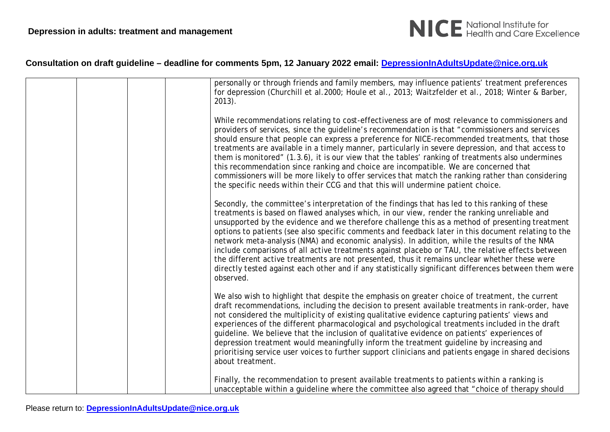

| personally or through friends and family members, may influence patients' treatment preferences<br>for depression (Churchill et al.2000; Houle et al., 2013; Waitzfelder et al., 2018; Winter & Barber,<br>$2013$ ).                                                                                                                                                                                                                                                                                                                                                                                                                                                                                                                                                                                                                  |
|---------------------------------------------------------------------------------------------------------------------------------------------------------------------------------------------------------------------------------------------------------------------------------------------------------------------------------------------------------------------------------------------------------------------------------------------------------------------------------------------------------------------------------------------------------------------------------------------------------------------------------------------------------------------------------------------------------------------------------------------------------------------------------------------------------------------------------------|
| While recommendations relating to cost-effectiveness are of most relevance to commissioners and<br>providers of services, since the guideline's recommendation is that "commissioners and services<br>should ensure that people can express a preference for NICE-recommended treatments, that those<br>treatments are available in a timely manner, particularly in severe depression, and that access to<br>them is monitored" (1.3.6), it is our view that the tables' ranking of treatments also undermines<br>this recommendation since ranking and choice are incompatible. We are concerned that<br>commissioners will be more likely to offer services that match the ranking rather than considering<br>the specific needs within their CCG and that this will undermine patient choice.                                     |
| Secondly, the committee's interpretation of the findings that has led to this ranking of these<br>treatments is based on flawed analyses which, in our view, render the ranking unreliable and<br>unsupported by the evidence and we therefore challenge this as a method of presenting treatment<br>options to patients (see also specific comments and feedback later in this document relating to the<br>network meta-analysis (NMA) and economic analysis). In addition, while the results of the NMA<br>include comparisons of all active treatments against placebo or TAU, the relative effects between<br>the different active treatments are not presented, thus it remains unclear whether these were<br>directly tested against each other and if any statistically significant differences between them were<br>observed. |
| We also wish to highlight that despite the emphasis on greater choice of treatment, the current<br>draft recommendations, including the decision to present available treatments in rank-order, have<br>not considered the multiplicity of existing qualitative evidence capturing patients' views and<br>experiences of the different pharmacological and psychological treatments included in the draft<br>guideline. We believe that the inclusion of qualitative evidence on patients' experiences of<br>depression treatment would meaningfully inform the treatment guideline by increasing and<br>prioritising service user voices to further support clinicians and patients engage in shared decisions<br>about treatment.                                                                                                   |
| Finally, the recommendation to present available treatments to patients within a ranking is<br>unacceptable within a guideline where the committee also agreed that "choice of therapy should                                                                                                                                                                                                                                                                                                                                                                                                                                                                                                                                                                                                                                         |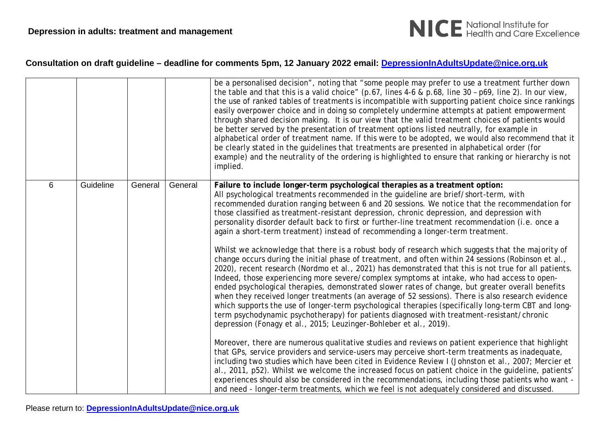

|   |           |         |         | be a personalised decision", noting that "some people may prefer to use a treatment further down<br>the table and that this is a valid choice" (p.67, lines 4-6 & p.68, line 30 - p69, line 2). In our view,<br>the use of ranked tables of treatments is incompatible with supporting patient choice since rankings<br>easily overpower choice and in doing so completely undermine attempts at patient empowerment<br>through shared decision making. It is our view that the valid treatment choices of patients would<br>be better served by the presentation of treatment options listed neutrally, for example in<br>alphabetical order of treatment name. If this were to be adopted, we would also recommend that it<br>be clearly stated in the guidelines that treatments are presented in alphabetical order (for<br>example) and the neutrality of the ordering is highlighted to ensure that ranking or hierarchy is not<br>implied.                                                                                                                                                                                                                                                                                                                                              |
|---|-----------|---------|---------|------------------------------------------------------------------------------------------------------------------------------------------------------------------------------------------------------------------------------------------------------------------------------------------------------------------------------------------------------------------------------------------------------------------------------------------------------------------------------------------------------------------------------------------------------------------------------------------------------------------------------------------------------------------------------------------------------------------------------------------------------------------------------------------------------------------------------------------------------------------------------------------------------------------------------------------------------------------------------------------------------------------------------------------------------------------------------------------------------------------------------------------------------------------------------------------------------------------------------------------------------------------------------------------------|
| 6 | Guideline | General | General | Failure to include longer-term psychological therapies as a treatment option:<br>All psychological treatments recommended in the guideline are brief/short-term, with<br>recommended duration ranging between 6 and 20 sessions. We notice that the recommendation for<br>those classified as treatment-resistant depression, chronic depression, and depression with<br>personality disorder default back to first or further-line treatment recommendation (i.e. once a<br>again a short-term treatment) instead of recommending a longer-term treatment.<br>Whilst we acknowledge that there is a robust body of research which suggests that the majority of<br>change occurs during the initial phase of treatment, and often within 24 sessions (Robinson et al.,<br>2020), recent research (Nordmo et al., 2021) has demonstrated that this is not true for all patients.<br>Indeed, those experiencing more severe/complex symptoms at intake, who had access to open-<br>ended psychological therapies, demonstrated slower rates of change, but greater overall benefits<br>when they received longer treatments (an average of 52 sessions). There is also research evidence<br>which supports the use of longer-term psychological therapies (specifically long-term CBT and long- |
|   |           |         |         | term psychodynamic psychotherapy) for patients diagnosed with treatment-resistant/chronic<br>depression (Fonagy et al., 2015; Leuzinger-Bohleber et al., 2019).<br>Moreover, there are numerous qualitative studies and reviews on patient experience that highlight<br>that GPs, service providers and service-users may perceive short-term treatments as inadequate,<br>including two studies which have been cited in Evidence Review I (Johnston et al., 2007; Mercier et<br>al., 2011, p52). Whilst we welcome the increased focus on patient choice in the quideline, patients'<br>experiences should also be considered in the recommendations, including those patients who want -<br>and need - longer-term treatments, which we feel is not adequately considered and discussed.                                                                                                                                                                                                                                                                                                                                                                                                                                                                                                    |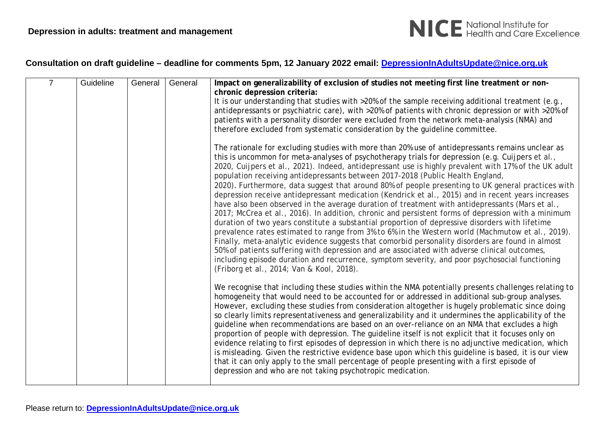

| $\overline{7}$ | Guideline | General | General | Impact on generalizability of exclusion of studies not meeting first line treatment or non-                                                                                                              |
|----------------|-----------|---------|---------|----------------------------------------------------------------------------------------------------------------------------------------------------------------------------------------------------------|
|                |           |         |         | chronic depression criteria:                                                                                                                                                                             |
|                |           |         |         | It is our understanding that studies with >20% of the sample receiving additional treatment (e.g.,                                                                                                       |
|                |           |         |         | antidepressants or psychiatric care), with >20% of patients with chronic depression or with >20% of                                                                                                      |
|                |           |         |         | patients with a personality disorder were excluded from the network meta-analysis (NMA) and                                                                                                              |
|                |           |         |         | therefore excluded from systematic consideration by the guideline committee.                                                                                                                             |
|                |           |         |         | The rationale for excluding studies with more than 20% use of antidepressants remains unclear as                                                                                                         |
|                |           |         |         | this is uncommon for meta-analyses of psychotherapy trials for depression (e.g. Cuijpers et al.,                                                                                                         |
|                |           |         |         | 2020, Cuijpers et al., 2021). Indeed, antidepressant use is highly prevalent with 17% of the UK adult                                                                                                    |
|                |           |         |         | population receiving antidepressants between 2017-2018 (Public Health England,                                                                                                                           |
|                |           |         |         | 2020). Furthermore, data suggest that around 80% of people presenting to UK general practices with<br>depression receive antidepressant medication (Kendrick et al., 2015) and in recent years increases |
|                |           |         |         | have also been observed in the average duration of treatment with antidepressants (Mars et al.,                                                                                                          |
|                |           |         |         | 2017; McCrea et al., 2016). In addition, chronic and persistent forms of depression with a minimum                                                                                                       |
|                |           |         |         | duration of two years constitute a substantial proportion of depressive disorders with lifetime                                                                                                          |
|                |           |         |         | prevalence rates estimated to range from 3% to 6% in the Western world (Machmutow et al., 2019).                                                                                                         |
|                |           |         |         | Finally, meta-analytic evidence suggests that comorbid personality disorders are found in almost                                                                                                         |
|                |           |         |         | 50% of patients suffering with depression and are associated with adverse clinical outcomes,                                                                                                             |
|                |           |         |         | including episode duration and recurrence, symptom severity, and poor psychosocial functioning                                                                                                           |
|                |           |         |         | (Friborg et al., 2014; Van & Kool, 2018).                                                                                                                                                                |
|                |           |         |         | We recognise that including these studies within the NMA potentially presents challenges relating to                                                                                                     |
|                |           |         |         | homogeneity that would need to be accounted for or addressed in additional sub-group analyses.                                                                                                           |
|                |           |         |         | However, excluding these studies from consideration altogether is hugely problematic since doing                                                                                                         |
|                |           |         |         | so clearly limits representativeness and generalizability and it undermines the applicability of the                                                                                                     |
|                |           |         |         | guideline when recommendations are based on an over-reliance on an NMA that excludes a high<br>proportion of people with depression. The quideline itself is not explicit that it focuses only on        |
|                |           |         |         | evidence relating to first episodes of depression in which there is no adjunctive medication, which                                                                                                      |
|                |           |         |         | is misleading. Given the restrictive evidence base upon which this guideline is based, it is our view                                                                                                    |
|                |           |         |         | that it can only apply to the small percentage of people presenting with a first episode of                                                                                                              |
|                |           |         |         | depression and who are not taking psychotropic medication.                                                                                                                                               |
|                |           |         |         |                                                                                                                                                                                                          |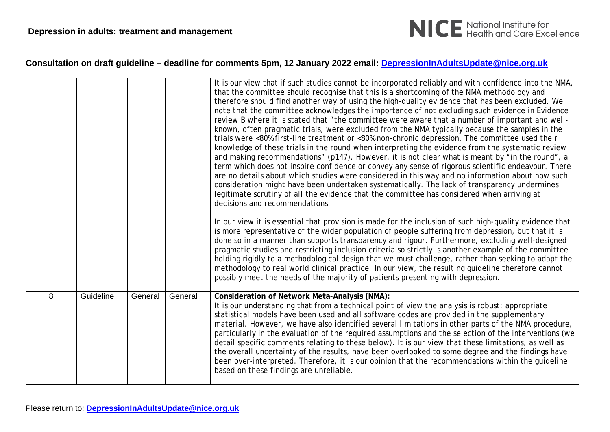

|   |           |         |         | It is our view that if such studies cannot be incorporated reliably and with confidence into the NMA,<br>that the committee should recognise that this is a shortcoming of the NMA methodology and<br>therefore should find another way of using the high-quality evidence that has been excluded. We<br>note that the committee acknowledges the importance of not excluding such evidence in Evidence<br>review B where it is stated that "the committee were aware that a number of important and well-<br>known, often pragmatic trials, were excluded from the NMA typically because the samples in the<br>trials were <80% first-line treatment or <80% non-chronic depression. The committee used their<br>knowledge of these trials in the round when interpreting the evidence from the systematic review<br>and making recommendations" (p147). However, it is not clear what is meant by "in the round", a<br>term which does not inspire confidence or convey any sense of rigorous scientific endeavour. There<br>are no details about which studies were considered in this way and no information about how such<br>consideration might have been undertaken systematically. The lack of transparency undermines<br>legitimate scrutiny of all the evidence that the committee has considered when arriving at<br>decisions and recommendations.<br>In our view it is essential that provision is made for the inclusion of such high-quality evidence that<br>is more representative of the wider population of people suffering from depression, but that it is |
|---|-----------|---------|---------|----------------------------------------------------------------------------------------------------------------------------------------------------------------------------------------------------------------------------------------------------------------------------------------------------------------------------------------------------------------------------------------------------------------------------------------------------------------------------------------------------------------------------------------------------------------------------------------------------------------------------------------------------------------------------------------------------------------------------------------------------------------------------------------------------------------------------------------------------------------------------------------------------------------------------------------------------------------------------------------------------------------------------------------------------------------------------------------------------------------------------------------------------------------------------------------------------------------------------------------------------------------------------------------------------------------------------------------------------------------------------------------------------------------------------------------------------------------------------------------------------------------------------------------------------------------------------------|
|   |           |         |         | done so in a manner than supports transparency and rigour. Furthermore, excluding well-designed<br>pragmatic studies and restricting inclusion criteria so strictly is another example of the committee<br>holding rigidly to a methodological design that we must challenge, rather than seeking to adapt the<br>methodology to real world clinical practice. In our view, the resulting guideline therefore cannot<br>possibly meet the needs of the majority of patients presenting with depression.                                                                                                                                                                                                                                                                                                                                                                                                                                                                                                                                                                                                                                                                                                                                                                                                                                                                                                                                                                                                                                                                          |
| 8 | Guideline | General | General | Consideration of Network Meta-Analysis (NMA):<br>It is our understanding that from a technical point of view the analysis is robust; appropriate<br>statistical models have been used and all software codes are provided in the supplementary<br>material. However, we have also identified several limitations in other parts of the NMA procedure,<br>particularly in the evaluation of the required assumptions and the selection of the interventions (we<br>detail specific comments relating to these below). It is our view that these limitations, as well as<br>the overall uncertainty of the results, have been overlooked to some degree and the findings have<br>been over-interpreted. Therefore, it is our opinion that the recommendations within the guideline<br>based on these findings are unreliable.                                                                                                                                                                                                                                                                                                                                                                                                                                                                                                                                                                                                                                                                                                                                                      |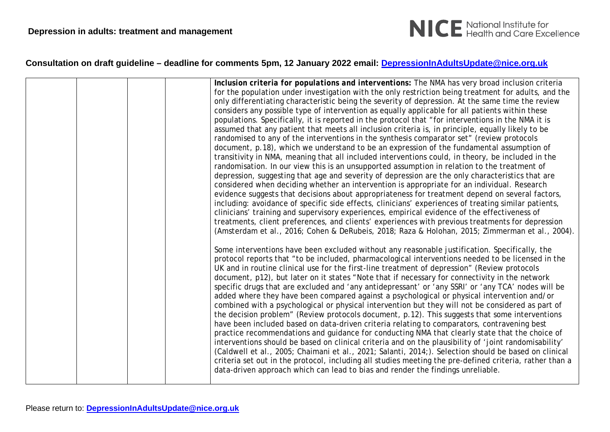

|  | Inclusion criteria for populations and interventions: The NMA has very broad inclusion criteria<br>for the population under investigation with the only restriction being treatment for adults, and the<br>only differentiating characteristic being the severity of depression. At the same time the review<br>considers any possible type of intervention as equally applicable for all patients within these<br>populations. Specifically, it is reported in the protocol that "for interventions in the NMA it is<br>assumed that any patient that meets all inclusion criteria is, in principle, equally likely to be<br>randomised to any of the interventions in the synthesis comparator set" (review protocols<br>document, p.18), which we understand to be an expression of the fundamental assumption of<br>transitivity in NMA, meaning that all included interventions could, in theory, be included in the<br>randomisation. In our view this is an unsupported assumption in relation to the treatment of<br>depression, suggesting that age and severity of depression are the only characteristics that are<br>considered when deciding whether an intervention is appropriate for an individual. Research<br>evidence suggests that decisions about appropriateness for treatment depend on several factors,<br>including: avoidance of specific side effects, clinicians' experiences of treating similar patients,<br>clinicians' training and supervisory experiences, empirical evidence of the effectiveness of |
|--|-----------------------------------------------------------------------------------------------------------------------------------------------------------------------------------------------------------------------------------------------------------------------------------------------------------------------------------------------------------------------------------------------------------------------------------------------------------------------------------------------------------------------------------------------------------------------------------------------------------------------------------------------------------------------------------------------------------------------------------------------------------------------------------------------------------------------------------------------------------------------------------------------------------------------------------------------------------------------------------------------------------------------------------------------------------------------------------------------------------------------------------------------------------------------------------------------------------------------------------------------------------------------------------------------------------------------------------------------------------------------------------------------------------------------------------------------------------------------------------------------------------------------------------------|
|  | treatments, client preferences, and clients' experiences with previous treatments for depression<br>(Amsterdam et al., 2016; Cohen & DeRubeis, 2018; Raza & Holohan, 2015; Zimmerman et al., 2004).<br>Some interventions have been excluded without any reasonable justification. Specifically, the                                                                                                                                                                                                                                                                                                                                                                                                                                                                                                                                                                                                                                                                                                                                                                                                                                                                                                                                                                                                                                                                                                                                                                                                                                    |
|  | protocol reports that "to be included, pharmacological interventions needed to be licensed in the<br>UK and in routine clinical use for the first-line treatment of depression" (Review protocols<br>document, p12), but later on it states "Note that if necessary for connectivity in the network<br>specific drugs that are excluded and 'any antidepressant' or 'any SSRI' or 'any TCA' nodes will be<br>added where they have been compared against a psychological or physical intervention and/or<br>combined with a psychological or physical intervention but they will not be considered as part of<br>the decision problem" (Review protocols document, p.12). This suggests that some interventions<br>have been included based on data-driven criteria relating to comparators, contravening best<br>practice recommendations and guidance for conducting NMA that clearly state that the choice of<br>interventions should be based on clinical criteria and on the plausibility of 'joint randomisability'<br>(Caldwell et al., 2005; Chaimani et al., 2021; Salanti, 2014;). Selection should be based on clinical<br>criteria set out in the protocol, including all studies meeting the pre-defined criteria, rather than a<br>data-driven approach which can lead to bias and render the findings unreliable.                                                                                                                                                                                                        |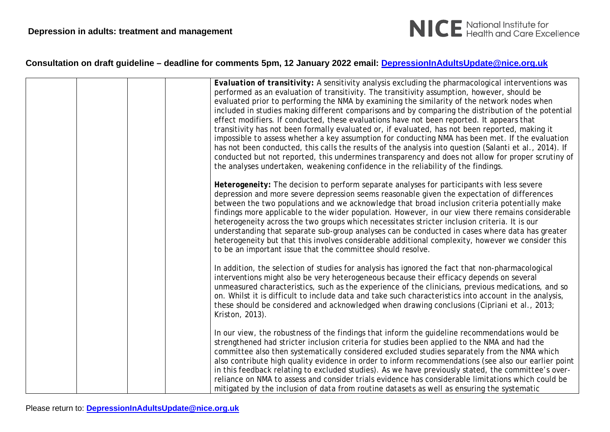

|  | Evaluation of transitivity: A sensitivity analysis excluding the pharmacological interventions was<br>performed as an evaluation of transitivity. The transitivity assumption, however, should be<br>evaluated prior to performing the NMA by examining the similarity of the network nodes when<br>included in studies making different comparisons and by comparing the distribution of the potential<br>effect modifiers. If conducted, these evaluations have not been reported. It appears that<br>transitivity has not been formally evaluated or, if evaluated, has not been reported, making it<br>impossible to assess whether a key assumption for conducting NMA has been met. If the evaluation<br>has not been conducted, this calls the results of the analysis into question (Salanti et al., 2014). If<br>conducted but not reported, this undermines transparency and does not allow for proper scrutiny of<br>the analyses undertaken, weakening confidence in the reliability of the findings. |
|--|-------------------------------------------------------------------------------------------------------------------------------------------------------------------------------------------------------------------------------------------------------------------------------------------------------------------------------------------------------------------------------------------------------------------------------------------------------------------------------------------------------------------------------------------------------------------------------------------------------------------------------------------------------------------------------------------------------------------------------------------------------------------------------------------------------------------------------------------------------------------------------------------------------------------------------------------------------------------------------------------------------------------|
|  | Heterogeneity: The decision to perform separate analyses for participants with less severe<br>depression and more severe depression seems reasonable given the expectation of differences<br>between the two populations and we acknowledge that broad inclusion criteria potentially make<br>findings more applicable to the wider population. However, in our view there remains considerable<br>heterogeneity across the two groups which necessitates stricter inclusion criteria. It is our<br>understanding that separate sub-group analyses can be conducted in cases where data has greater<br>heterogeneity but that this involves considerable additional complexity, however we consider this<br>to be an important issue that the committee should resolve.                                                                                                                                                                                                                                           |
|  | In addition, the selection of studies for analysis has ignored the fact that non-pharmacological<br>interventions might also be very heterogeneous because their efficacy depends on several<br>unmeasured characteristics, such as the experience of the clinicians, previous medications, and so<br>on. Whilst it is difficult to include data and take such characteristics into account in the analysis,<br>these should be considered and acknowledged when drawing conclusions (Cipriani et al., 2013;<br>Kriston, 2013).                                                                                                                                                                                                                                                                                                                                                                                                                                                                                   |
|  | In our view, the robustness of the findings that inform the guideline recommendations would be<br>strengthened had stricter inclusion criteria for studies been applied to the NMA and had the<br>committee also then systematically considered excluded studies separately from the NMA which<br>also contribute high quality evidence in order to inform recommendations (see also our earlier point<br>in this feedback relating to excluded studies). As we have previously stated, the committee's over-<br>reliance on NMA to assess and consider trials evidence has considerable limitations which could be<br>mitigated by the inclusion of data from routine datasets as well as ensuring the systematic                                                                                                                                                                                                                                                                                                |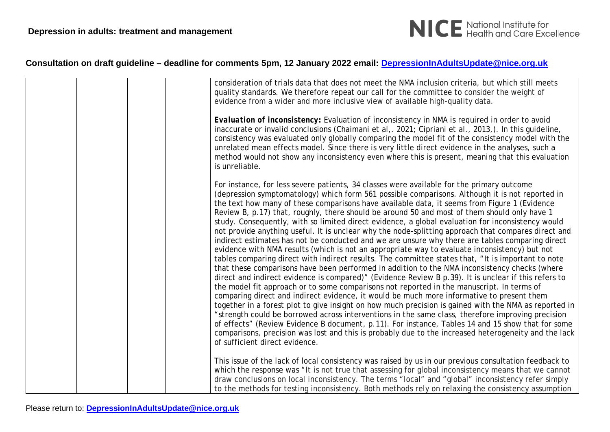

|  | consideration of trials data that does not meet the NMA inclusion criteria, but which still meets<br>quality standards. We therefore repeat our call for the committee to consider the weight of                                                                                                                                                                                                                                                                                                                                                                                                                                                                                                                                                                                                                                                                                                                                                                                                                                                                                                                                                                                                                                                                                                                                                                                                                                                                                                                                                                                                                                                                                                                                                                                   |
|--|------------------------------------------------------------------------------------------------------------------------------------------------------------------------------------------------------------------------------------------------------------------------------------------------------------------------------------------------------------------------------------------------------------------------------------------------------------------------------------------------------------------------------------------------------------------------------------------------------------------------------------------------------------------------------------------------------------------------------------------------------------------------------------------------------------------------------------------------------------------------------------------------------------------------------------------------------------------------------------------------------------------------------------------------------------------------------------------------------------------------------------------------------------------------------------------------------------------------------------------------------------------------------------------------------------------------------------------------------------------------------------------------------------------------------------------------------------------------------------------------------------------------------------------------------------------------------------------------------------------------------------------------------------------------------------------------------------------------------------------------------------------------------------|
|  | evidence from a wider and more inclusive view of available high-quality data.                                                                                                                                                                                                                                                                                                                                                                                                                                                                                                                                                                                                                                                                                                                                                                                                                                                                                                                                                                                                                                                                                                                                                                                                                                                                                                                                                                                                                                                                                                                                                                                                                                                                                                      |
|  | Evaluation of inconsistency: Evaluation of inconsistency in NMA is required in order to avoid<br>inaccurate or invalid conclusions (Chaimani et al,. 2021; Cipriani et al., 2013,). In this guideline,<br>consistency was evaluated only globally comparing the model fit of the consistency model with the<br>unrelated mean effects model. Since there is very little direct evidence in the analyses, such a<br>method would not show any inconsistency even where this is present, meaning that this evaluation<br>is unreliable.                                                                                                                                                                                                                                                                                                                                                                                                                                                                                                                                                                                                                                                                                                                                                                                                                                                                                                                                                                                                                                                                                                                                                                                                                                              |
|  | For instance, for less severe patients, 34 classes were available for the primary outcome<br>(depression symptomatology) which form 561 possible comparisons. Although it is not reported in<br>the text how many of these comparisons have available data, it seems from Figure 1 (Evidence<br>Review B, p.17) that, roughly, there should be around 50 and most of them should only have 1<br>study. Consequently, with so limited direct evidence, a global evaluation for inconsistency would<br>not provide anything useful. It is unclear why the node-splitting approach that compares direct and<br>indirect estimates has not be conducted and we are unsure why there are tables comparing direct<br>evidence with NMA results (which is not an appropriate way to evaluate inconsistency) but not<br>tables comparing direct with indirect results. The committee states that, "It is important to note<br>that these comparisons have been performed in addition to the NMA inconsistency checks (where<br>direct and indirect evidence is compared)" (Evidence Review B p.39). It is unclear if this refers to<br>the model fit approach or to some comparisons not reported in the manuscript. In terms of<br>comparing direct and indirect evidence, it would be much more informative to present them<br>together in a forest plot to give insight on how much precision is gained with the NMA as reported in<br>"strength could be borrowed across interventions in the same class, therefore improving precision<br>of effects" (Review Evidence B document, p.11). For instance, Tables 14 and 15 show that for some<br>comparisons, precision was lost and this is probably due to the increased heterogeneity and the lack<br>of sufficient direct evidence. |
|  | This issue of the lack of local consistency was raised by us in our previous consultation feedback to<br>which the response was "It is not true that assessing for global inconsistency means that we cannot<br>draw conclusions on local inconsistency. The terms "local" and "global" inconsistency refer simply<br>to the methods for testing inconsistency. Both methods rely on relaxing the consistency assumption                                                                                                                                                                                                                                                                                                                                                                                                                                                                                                                                                                                                                                                                                                                                                                                                                                                                                                                                                                                                                                                                                                                                                                                                                                                                                                                                                           |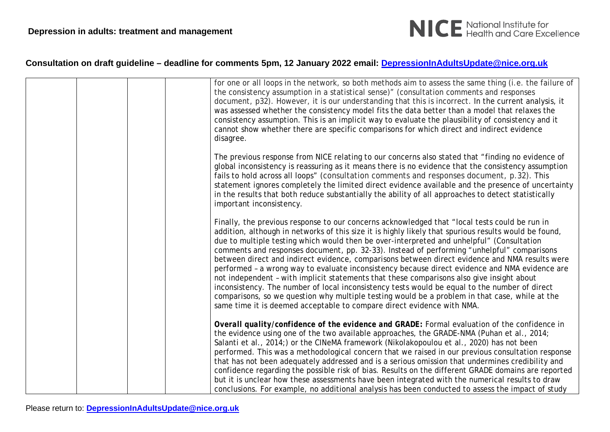

|  | for one or all loops in the network, so both methods aim to assess the same thing (i.e. the failure of<br>the consistency assumption in a statistical sense)" (consultation comments and responses<br>document, p32). However, it is our understanding that this is incorrect. In the current analysis, it<br>was assessed whether the consistency model fits the data better than a model that relaxes the<br>consistency assumption. This is an implicit way to evaluate the plausibility of consistency and it<br>cannot show whether there are specific comparisons for which direct and indirect evidence<br>disagree.                                                                                                                                                                                                                                                                                                                                                     |
|--|---------------------------------------------------------------------------------------------------------------------------------------------------------------------------------------------------------------------------------------------------------------------------------------------------------------------------------------------------------------------------------------------------------------------------------------------------------------------------------------------------------------------------------------------------------------------------------------------------------------------------------------------------------------------------------------------------------------------------------------------------------------------------------------------------------------------------------------------------------------------------------------------------------------------------------------------------------------------------------|
|  | The previous response from NICE relating to our concerns also stated that "finding no evidence of<br>global inconsistency is reassuring as it means there is no evidence that the consistency assumption<br>fails to hold across all loops" (consultation comments and responses document, p.32). This<br>statement ignores completely the limited direct evidence available and the presence of uncertainty<br>in the results that both reduce substantially the ability of all approaches to detect statistically<br>important inconsistency.                                                                                                                                                                                                                                                                                                                                                                                                                                 |
|  | Finally, the previous response to our concerns acknowledged that "local tests could be run in<br>addition, although in networks of this size it is highly likely that spurious results would be found,<br>due to multiple testing which would then be over-interpreted and unhelpful" (Consultation<br>comments and responses document, pp. 32-33). Instead of performing "unhelpful" comparisons<br>between direct and indirect evidence, comparisons between direct evidence and NMA results were<br>performed - a wrong way to evaluate inconsistency because direct evidence and NMA evidence are<br>not independent - with implicit statements that these comparisons also give insight about<br>inconsistency. The number of local inconsistency tests would be equal to the number of direct<br>comparisons, so we question why multiple testing would be a problem in that case, while at the<br>same time it is deemed acceptable to compare direct evidence with NMA. |
|  | Overall quality/confidence of the evidence and GRADE: Formal evaluation of the confidence in<br>the evidence using one of the two available approaches, the GRADE-NMA (Puhan et al., 2014;<br>Salanti et al., 2014;) or the CINeMA framework (Nikolakopoulou et al., 2020) has not been<br>performed. This was a methodological concern that we raised in our previous consultation response<br>that has not been adequately addressed and is a serious omission that undermines credibility and<br>confidence regarding the possible risk of bias. Results on the different GRADE domains are reported<br>but it is unclear how these assessments have been integrated with the numerical results to draw<br>conclusions. For example, no additional analysis has been conducted to assess the impact of study                                                                                                                                                                 |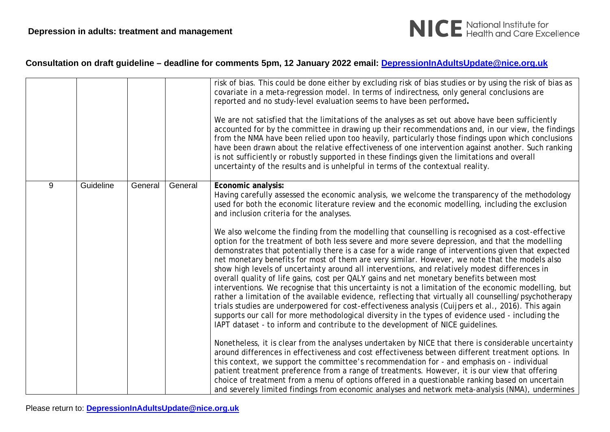

|   |           |         |         | risk of bias. This could be done either by excluding risk of bias studies or by using the risk of bias as<br>covariate in a meta-regression model. In terms of indirectness, only general conclusions are<br>reported and no study-level evaluation seems to have been performed.                                                                                                                                                                                                                                                                                                                                                                                                                                                                                                                                                                                                                                                                                                                                                                                                                                            |
|---|-----------|---------|---------|------------------------------------------------------------------------------------------------------------------------------------------------------------------------------------------------------------------------------------------------------------------------------------------------------------------------------------------------------------------------------------------------------------------------------------------------------------------------------------------------------------------------------------------------------------------------------------------------------------------------------------------------------------------------------------------------------------------------------------------------------------------------------------------------------------------------------------------------------------------------------------------------------------------------------------------------------------------------------------------------------------------------------------------------------------------------------------------------------------------------------|
|   |           |         |         | We are not satisfied that the limitations of the analyses as set out above have been sufficiently<br>accounted for by the committee in drawing up their recommendations and, in our view, the findings<br>from the NMA have been relied upon too heavily, particularly those findings upon which conclusions<br>have been drawn about the relative effectiveness of one intervention against another. Such ranking<br>is not sufficiently or robustly supported in these findings given the limitations and overall<br>uncertainty of the results and is unhelpful in terms of the contextual reality.                                                                                                                                                                                                                                                                                                                                                                                                                                                                                                                       |
| 9 | Guideline | General | General | Economic analysis:<br>Having carefully assessed the economic analysis, we welcome the transparency of the methodology<br>used for both the economic literature review and the economic modelling, including the exclusion<br>and inclusion criteria for the analyses.                                                                                                                                                                                                                                                                                                                                                                                                                                                                                                                                                                                                                                                                                                                                                                                                                                                        |
|   |           |         |         | We also welcome the finding from the modelling that counselling is recognised as a cost-effective<br>option for the treatment of both less severe and more severe depression, and that the modelling<br>demonstrates that potentially there is a case for a wide range of interventions given that expected<br>net monetary benefits for most of them are very similar. However, we note that the models also<br>show high levels of uncertainty around all interventions, and relatively modest differences in<br>overall quality of life gains, cost per QALY gains and net monetary benefits between most<br>interventions. We recognise that this uncertainty is not a limitation of the economic modelling, but<br>rather a limitation of the available evidence, reflecting that virtually all counselling/psychotherapy<br>trials studies are underpowered for cost-effectiveness analysis (Cuijpers et al., 2016). This again<br>supports our call for more methodological diversity in the types of evidence used - including the<br>IAPT dataset - to inform and contribute to the development of NICE guidelines. |
|   |           |         |         | Nonetheless, it is clear from the analyses undertaken by NICE that there is considerable uncertainty<br>around differences in effectiveness and cost effectiveness between different treatment options. In<br>this context, we support the committee's recommendation for - and emphasis on - individual<br>patient treatment preference from a range of treatments. However, it is our view that offering<br>choice of treatment from a menu of options offered in a questionable ranking based on uncertain<br>and severely limited findings from economic analyses and network meta-analysis (NMA), undermines                                                                                                                                                                                                                                                                                                                                                                                                                                                                                                            |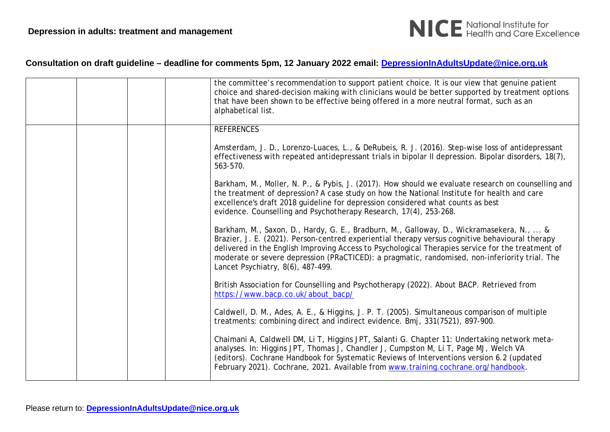

|  |  | the committee's recommendation to support patient choice. It is our view that genuine patient<br>choice and shared-decision making with clinicians would be better supported by treatment options<br>that have been shown to be effective being offered in a more neutral format, such as an<br>alphabetical list.                                                                                                                      |
|--|--|-----------------------------------------------------------------------------------------------------------------------------------------------------------------------------------------------------------------------------------------------------------------------------------------------------------------------------------------------------------------------------------------------------------------------------------------|
|  |  | <b>REFERENCES</b>                                                                                                                                                                                                                                                                                                                                                                                                                       |
|  |  | Amsterdam, J. D., Lorenzo-Luaces, L., & DeRubeis, R. J. (2016). Step-wise loss of antidepressant<br>effectiveness with repeated antidepressant trials in bipolar II depression. Bipolar disorders, 18(7),<br>563-570.                                                                                                                                                                                                                   |
|  |  | Barkham, M., Moller, N. P., & Pybis, J. (2017). How should we evaluate research on counselling and<br>the treatment of depression? A case study on how the National Institute for health and care<br>excellence's draft 2018 guideline for depression considered what counts as best<br>evidence. Counselling and Psychotherapy Research, 17(4), 253-268.                                                                               |
|  |  | Barkham, M., Saxon, D., Hardy, G. E., Bradburn, M., Galloway, D., Wickramasekera, N.,  &<br>Brazier, J. E. (2021). Person-centred experiential therapy versus cognitive behavioural therapy<br>delivered in the English Improving Access to Psychological Therapies service for the treatment of<br>moderate or severe depression (PRaCTICED): a pragmatic, randomised, non-inferiority trial. The<br>Lancet Psychiatry, 8(6), 487-499. |
|  |  | British Association for Counselling and Psychotherapy (2022). About BACP. Retrieved from<br>https://www.bacp.co.uk/about_bacp/                                                                                                                                                                                                                                                                                                          |
|  |  | Caldwell, D. M., Ades, A. E., & Higgins, J. P. T. (2005). Simultaneous comparison of multiple<br>treatments: combining direct and indirect evidence. Bmj, 331(7521), 897-900.                                                                                                                                                                                                                                                           |
|  |  | Chaimani A, Caldwell DM, Li T, Higgins JPT, Salanti G. Chapter 11: Undertaking network meta-<br>analyses. In: Higgins JPT, Thomas J, Chandler J, Cumpston M, Li T, Page MJ, Welch VA<br>(editors). Cochrane Handbook for Systematic Reviews of Interventions version 6.2 (updated<br>February 2021). Cochrane, 2021. Available from www.training.cochrane.org/handbook.                                                                 |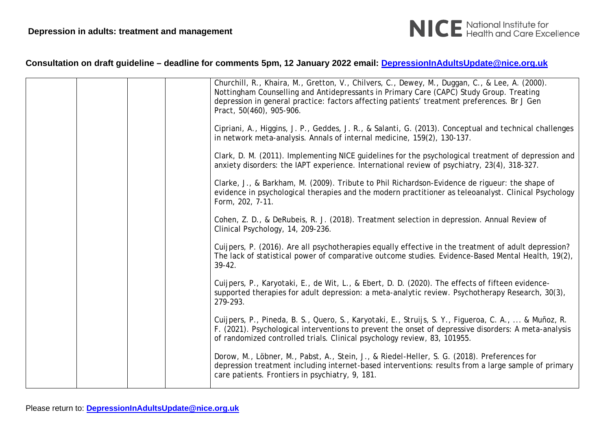

|  | Churchill, R., Khaira, M., Gretton, V., Chilvers, C., Dewey, M., Duggan, C., & Lee, A. (2000).<br>Nottingham Counselling and Antidepressants in Primary Care (CAPC) Study Group. Treating<br>depression in general practice: factors affecting patients' treatment preferences. Br J Gen<br>Pract, 50(460), 905-906. |
|--|----------------------------------------------------------------------------------------------------------------------------------------------------------------------------------------------------------------------------------------------------------------------------------------------------------------------|
|  | Cipriani, A., Higgins, J. P., Geddes, J. R., & Salanti, G. (2013). Conceptual and technical challenges<br>in network meta-analysis. Annals of internal medicine, 159(2), 130-137.                                                                                                                                    |
|  | Clark, D. M. (2011). Implementing NICE guidelines for the psychological treatment of depression and<br>anxiety disorders: the IAPT experience. International review of psychiatry, 23(4), 318-327.                                                                                                                   |
|  | Clarke, J., & Barkham, M. (2009). Tribute to Phil Richardson-Evidence de rigueur: the shape of<br>evidence in psychological therapies and the modern practitioner as teleoanalyst. Clinical Psychology<br>Form, 202, 7-11.                                                                                           |
|  | Cohen, Z. D., & DeRubeis, R. J. (2018). Treatment selection in depression. Annual Review of<br>Clinical Psychology, 14, 209-236.                                                                                                                                                                                     |
|  | Cuijpers, P. (2016). Are all psychotherapies equally effective in the treatment of adult depression?<br>The lack of statistical power of comparative outcome studies. Evidence-Based Mental Health, 19(2),<br>$39-42.$                                                                                               |
|  | Cuijpers, P., Karyotaki, E., de Wit, L., & Ebert, D. D. (2020). The effects of fifteen evidence-<br>supported therapies for adult depression: a meta-analytic review. Psychotherapy Research, 30(3),<br>279-293.                                                                                                     |
|  | Cuijpers, P., Pineda, B. S., Quero, S., Karyotaki, E., Struijs, S. Y., Figueroa, C. A.,  & Muñoz, R.<br>F. (2021). Psychological interventions to prevent the onset of depressive disorders: A meta-analysis<br>of randomized controlled trials. Clinical psychology review, 83, 101955.                             |
|  | Dorow, M., Löbner, M., Pabst, A., Stein, J., & Riedel-Heller, S. G. (2018). Preferences for<br>depression treatment including internet-based interventions: results from a large sample of primary<br>care patients. Frontiers in psychiatry, 9, 181.                                                                |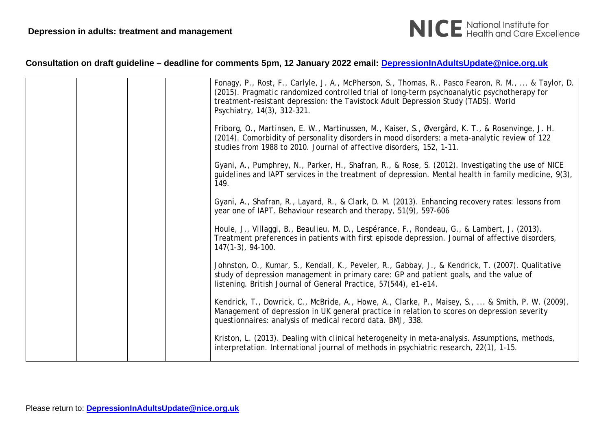

|  | Fonagy, P., Rost, F., Carlyle, J. A., McPherson, S., Thomas, R., Pasco Fearon, R. M.,  & Taylor, D.<br>(2015). Pragmatic randomized controlled trial of long-term psychoanalytic psychotherapy for<br>treatment-resistant depression: the Tavistock Adult Depression Study (TADS). World<br>Psychiatry, 14(3), 312-321. |
|--|-------------------------------------------------------------------------------------------------------------------------------------------------------------------------------------------------------------------------------------------------------------------------------------------------------------------------|
|  | Friborg, O., Martinsen, E. W., Martinussen, M., Kaiser, S., Øvergård, K. T., & Rosenvinge, J. H.<br>(2014). Comorbidity of personality disorders in mood disorders: a meta-analytic review of 122<br>studies from 1988 to 2010. Journal of affective disorders, 152, 1-11.                                              |
|  | Gyani, A., Pumphrey, N., Parker, H., Shafran, R., & Rose, S. (2012). Investigating the use of NICE<br>guidelines and IAPT services in the treatment of depression. Mental health in family medicine, 9(3),<br>149.                                                                                                      |
|  | Gyani, A., Shafran, R., Layard, R., & Clark, D. M. (2013). Enhancing recovery rates: lessons from<br>year one of IAPT. Behaviour research and therapy, 51(9), 597-606                                                                                                                                                   |
|  | Houle, J., Villaggi, B., Beaulieu, M. D., Lespérance, F., Rondeau, G., & Lambert, J. (2013).<br>Treatment preferences in patients with first episode depression. Journal of affective disorders,<br>$147(1-3)$ , 94-100.                                                                                                |
|  | Johnston, O., Kumar, S., Kendall, K., Peveler, R., Gabbay, J., & Kendrick, T. (2007). Qualitative<br>study of depression management in primary care: GP and patient goals, and the value of<br>listening. British Journal of General Practice, 57(544), e1-e14.                                                         |
|  | Kendrick, T., Dowrick, C., McBride, A., Howe, A., Clarke, P., Maisey, S.,  & Smith, P. W. (2009).<br>Management of depression in UK general practice in relation to scores on depression severity<br>questionnaires: analysis of medical record data. BMJ, 338.                                                         |
|  | Kriston, L. (2013). Dealing with clinical heterogeneity in meta-analysis. Assumptions, methods,<br>interpretation. International journal of methods in psychiatric research, 22(1), 1-15.                                                                                                                               |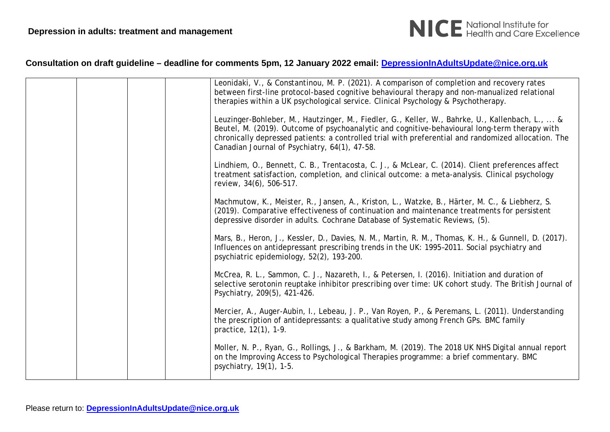

|  |  | Leonidaki, V., & Constantinou, M. P. (2021). A comparison of completion and recovery rates<br>between first-line protocol-based cognitive behavioural therapy and non-manualized relational<br>therapies within a UK psychological service. Clinical Psychology & Psychotherapy.                                                                         |
|--|--|----------------------------------------------------------------------------------------------------------------------------------------------------------------------------------------------------------------------------------------------------------------------------------------------------------------------------------------------------------|
|  |  | Leuzinger-Bohleber, M., Hautzinger, M., Fiedler, G., Keller, W., Bahrke, U., Kallenbach, L.,  &<br>Beutel, M. (2019). Outcome of psychoanalytic and cognitive-behavioural long-term therapy with<br>chronically depressed patients: a controlled trial with preferential and randomized allocation. The<br>Canadian Journal of Psychiatry, 64(1), 47-58. |
|  |  | Lindhiem, O., Bennett, C. B., Trentacosta, C. J., & McLear, C. (2014). Client preferences affect<br>treatment satisfaction, completion, and clinical outcome: a meta-analysis. Clinical psychology<br>review, 34(6), 506-517.                                                                                                                            |
|  |  | Machmutow, K., Meister, R., Jansen, A., Kriston, L., Watzke, B., Härter, M. C., & Liebherz, S.<br>(2019). Comparative effectiveness of continuation and maintenance treatments for persistent<br>depressive disorder in adults. Cochrane Database of Systematic Reviews, (5).                                                                            |
|  |  | Mars, B., Heron, J., Kessler, D., Davies, N. M., Martin, R. M., Thomas, K. H., & Gunnell, D. (2017).<br>Influences on antidepressant prescribing trends in the UK: 1995-2011. Social psychiatry and<br>psychiatric epidemiology, 52(2), 193-200.                                                                                                         |
|  |  | McCrea, R. L., Sammon, C. J., Nazareth, I., & Petersen, I. (2016). Initiation and duration of<br>selective serotonin reuptake inhibitor prescribing over time: UK cohort study. The British Journal of<br>Psychiatry, 209(5), 421-426.                                                                                                                   |
|  |  | Mercier, A., Auger-Aubin, I., Lebeau, J. P., Van Royen, P., & Peremans, L. (2011). Understanding<br>the prescription of antidepressants: a qualitative study among French GPs. BMC family<br>practice, 12(1), 1-9.                                                                                                                                       |
|  |  | Moller, N. P., Ryan, G., Rollings, J., & Barkham, M. (2019). The 2018 UK NHS Digital annual report<br>on the Improving Access to Psychological Therapies programme: a brief commentary. BMC<br>psychiatry, 19(1), 1-5.                                                                                                                                   |
|  |  |                                                                                                                                                                                                                                                                                                                                                          |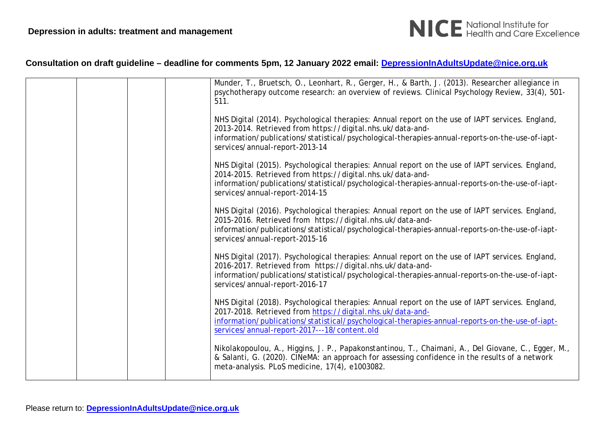

|  | Munder, T., Bruetsch, O., Leonhart, R., Gerger, H., & Barth, J. (2013). Researcher allegiance in<br>psychotherapy outcome research: an overview of reviews. Clinical Psychology Review, 33(4), 501-<br>511.                                                                                                       |
|--|-------------------------------------------------------------------------------------------------------------------------------------------------------------------------------------------------------------------------------------------------------------------------------------------------------------------|
|  | NHS Digital (2014). Psychological therapies: Annual report on the use of IAPT services. England,<br>2013-2014. Retrieved from https://digital.nhs.uk/data-and-<br>information/publications/statistical/psychological-therapies-annual-reports-on-the-use-of-iapt-<br>services/annual-report-2013-14               |
|  | NHS Digital (2015). Psychological therapies: Annual report on the use of IAPT services. England,<br>2014-2015. Retrieved from https://digital.nhs.uk/data-and-<br>information/publications/statistical/psychological-therapies-annual-reports-on-the-use-of-iapt-<br>services/annual-report-2014-15               |
|  | NHS Digital (2016). Psychological therapies: Annual report on the use of IAPT services. England,<br>2015-2016. Retrieved from https://digital.nhs.uk/data-and-<br>information/publications/statistical/psychological-therapies-annual-reports-on-the-use-of-iapt-<br>services/annual-report-2015-16               |
|  | NHS Digital (2017). Psychological therapies: Annual report on the use of IAPT services. England,<br>2016-2017. Retrieved from https://digital.nhs.uk/data-and-<br>information/publications/statistical/psychological-therapies-annual-reports-on-the-use-of-iapt-<br>services/annual-report-2016-17               |
|  | NHS Digital (2018). Psychological therapies: Annual report on the use of IAPT services. England,<br>2017-2018. Retrieved from https://digital.nhs.uk/data-and-<br>information/publications/statistical/psychological-therapies-annual-reports-on-the-use-of-iapt-<br>services/annual-report-2017---18/content.old |
|  | Nikolakopoulou, A., Higgins, J. P., Papakonstantinou, T., Chaimani, A., Del Giovane, C., Egger, M.,<br>& Salanti, G. (2020). CINeMA: an approach for assessing confidence in the results of a network<br>meta-analysis. PLoS medicine, 17(4), e1003082.                                                           |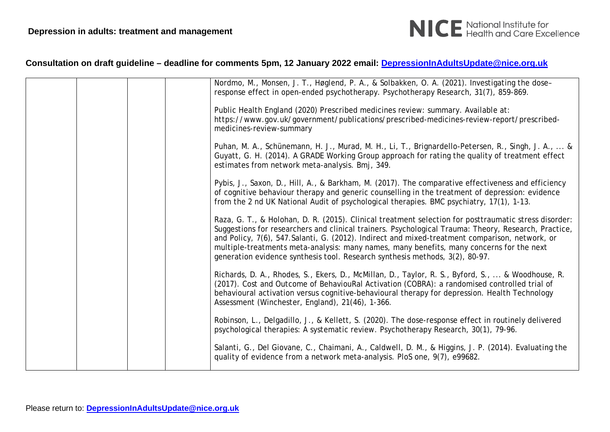

| Nordmo, M., Monsen, J. T., Høglend, P. A., & Solbakken, O. A. (2021). Investigating the dose-<br>response effect in open-ended psychotherapy. Psychotherapy Research, 31(7), 859-869.<br>Public Health England (2020) Prescribed medicines review: summary. Available at:<br>https://www.gov.uk/government/publications/prescribed-medicines-review-report/prescribed-<br>medicines-review-summary                                                                                           |
|----------------------------------------------------------------------------------------------------------------------------------------------------------------------------------------------------------------------------------------------------------------------------------------------------------------------------------------------------------------------------------------------------------------------------------------------------------------------------------------------|
| Puhan, M. A., Schünemann, H. J., Murad, M. H., Li, T., Brignardello-Petersen, R., Singh, J. A.,  &<br>Guyatt, G. H. (2014). A GRADE Working Group approach for rating the quality of treatment effect<br>estimates from network meta-analysis. Bmj, 349.                                                                                                                                                                                                                                     |
| Pybis, J., Saxon, D., Hill, A., & Barkham, M. (2017). The comparative effectiveness and efficiency<br>of cognitive behaviour therapy and generic counselling in the treatment of depression: evidence<br>from the 2 nd UK National Audit of psychological therapies. BMC psychiatry, 17(1), 1-13.                                                                                                                                                                                            |
| Raza, G. T., & Holohan, D. R. (2015). Clinical treatment selection for posttraumatic stress disorder:<br>Suggestions for researchers and clinical trainers. Psychological Trauma: Theory, Research, Practice,<br>and Policy, 7(6), 547. Salanti, G. (2012). Indirect and mixed-treatment comparison, network, or<br>multiple-treatments meta-analysis: many names, many benefits, many concerns for the next<br>generation evidence synthesis tool. Research synthesis methods, 3(2), 80-97. |
| Richards, D. A., Rhodes, S., Ekers, D., McMillan, D., Taylor, R. S., Byford, S.,  & Woodhouse, R.<br>(2017). Cost and Outcome of BehaviouRal Activation (COBRA): a randomised controlled trial of<br>behavioural activation versus cognitive-behavioural therapy for depression. Health Technology<br>Assessment (Winchester, England), 21(46), 1-366.                                                                                                                                       |
| Robinson, L., Delgadillo, J., & Kellett, S. (2020). The dose-response effect in routinely delivered<br>psychological therapies: A systematic review. Psychotherapy Research, 30(1), 79-96.                                                                                                                                                                                                                                                                                                   |
| Salanti, G., Del Giovane, C., Chaimani, A., Caldwell, D. M., & Higgins, J. P. (2014). Evaluating the<br>quality of evidence from a network meta-analysis. PloS one, 9(7), e99682.                                                                                                                                                                                                                                                                                                            |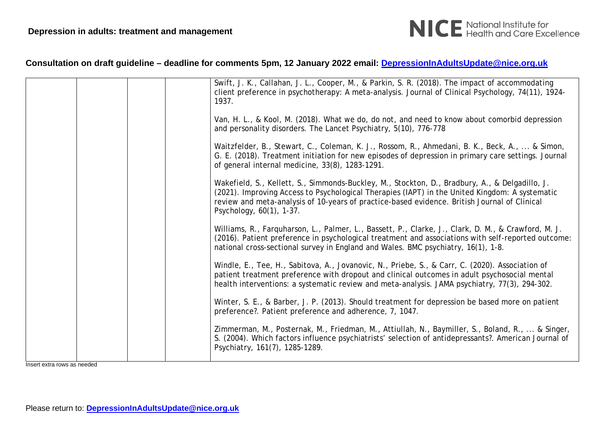

|  |  | Swift, J. K., Callahan, J. L., Cooper, M., & Parkin, S. R. (2018). The impact of accommodating<br>client preference in psychotherapy: A meta-analysis. Journal of Clinical Psychology, 74(11), 1924-<br>1937.                                                                                                                |
|--|--|------------------------------------------------------------------------------------------------------------------------------------------------------------------------------------------------------------------------------------------------------------------------------------------------------------------------------|
|  |  | Van, H. L., & Kool, M. (2018). What we do, do not, and need to know about comorbid depression<br>and personality disorders. The Lancet Psychiatry, 5(10), 776-778                                                                                                                                                            |
|  |  | Waitzfelder, B., Stewart, C., Coleman, K. J., Rossom, R., Ahmedani, B. K., Beck, A.,  & Simon,<br>G. E. (2018). Treatment initiation for new episodes of depression in primary care settings. Journal<br>of general internal medicine, 33(8), 1283-1291.                                                                     |
|  |  | Wakefield, S., Kellett, S., Simmonds-Buckley, M., Stockton, D., Bradbury, A., & Delgadillo, J.<br>(2021). Improving Access to Psychological Therapies (IAPT) in the United Kingdom: A systematic<br>review and meta-analysis of 10-years of practice-based evidence. British Journal of Clinical<br>Psychology, 60(1), 1-37. |
|  |  | Williams, R., Farquharson, L., Palmer, L., Bassett, P., Clarke, J., Clark, D. M., & Crawford, M. J.<br>(2016). Patient preference in psychological treatment and associations with self-reported outcome:<br>national cross-sectional survey in England and Wales. BMC psychiatry, 16(1), 1-8.                               |
|  |  | Windle, E., Tee, H., Sabitova, A., Jovanovic, N., Priebe, S., & Carr, C. (2020). Association of<br>patient treatment preference with dropout and clinical outcomes in adult psychosocial mental<br>health interventions: a systematic review and meta-analysis. JAMA psychiatry, 77(3), 294-302.                             |
|  |  | Winter, S. E., & Barber, J. P. (2013). Should treatment for depression be based more on patient<br>preference?. Patient preference and adherence, 7, 1047.                                                                                                                                                                   |
|  |  | Zimmerman, M., Posternak, M., Friedman, M., Attiullah, N., Baymiller, S., Boland, R.,  & Singer,<br>S. (2004). Which factors influence psychiatrists' selection of antidepressants?. American Journal of<br>Psychiatry, 161(7), 1285-1289.                                                                                   |
|  |  |                                                                                                                                                                                                                                                                                                                              |

Insert extra rows as needed